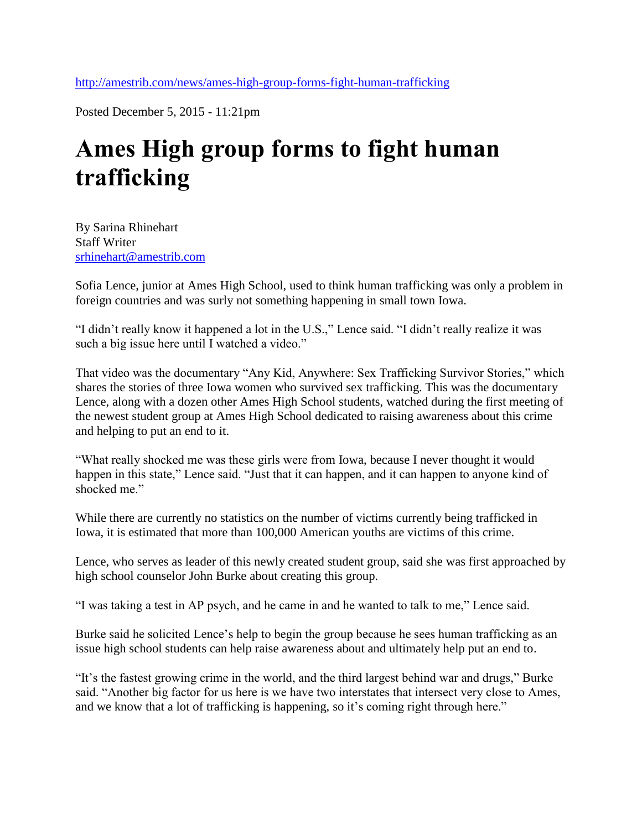<http://amestrib.com/news/ames-high-group-forms-fight-human-trafficking>

Posted December 5, 2015 - 11:21pm

## **Ames High group forms to fight human trafficking**

By Sarina Rhinehart Staff Writer [srhinehart@amestrib.com](mailto:srhinehart@amestrib.com)

Sofia Lence, junior at Ames High School, used to think human trafficking was only a problem in foreign countries and was surly not something happening in small town Iowa.

"I didn't really know it happened a lot in the U.S.," Lence said. "I didn't really realize it was such a big issue here until I watched a video."

That video was the documentary "Any Kid, Anywhere: Sex Trafficking Survivor Stories," which shares the stories of three Iowa women who survived sex trafficking. This was the documentary Lence, along with a dozen other Ames High School students, watched during the first meeting of the newest student group at Ames High School dedicated to raising awareness about this crime and helping to put an end to it.

"What really shocked me was these girls were from Iowa, because I never thought it would happen in this state," Lence said. "Just that it can happen, and it can happen to anyone kind of shocked me."

While there are currently no statistics on the number of victims currently being trafficked in Iowa, it is estimated that more than 100,000 American youths are victims of this crime.

Lence, who serves as leader of this newly created student group, said she was first approached by high school counselor John Burke about creating this group.

"I was taking a test in AP psych, and he came in and he wanted to talk to me," Lence said.

Burke said he solicited Lence's help to begin the group because he sees human trafficking as an issue high school students can help raise awareness about and ultimately help put an end to.

"It's the fastest growing crime in the world, and the third largest behind war and drugs," Burke said. "Another big factor for us here is we have two interstates that intersect very close to Ames, and we know that a lot of trafficking is happening, so it's coming right through here."